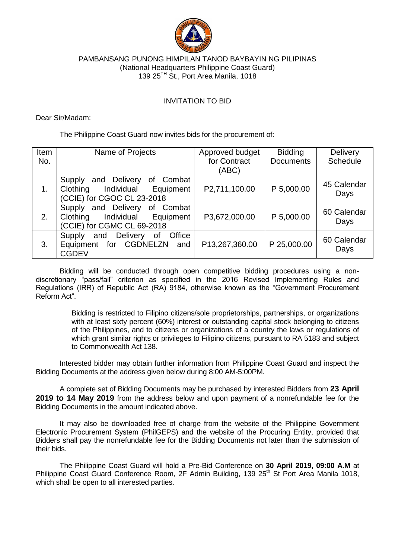

## PAMBANSANG PUNONG HIMPILAN TANOD BAYBAYIN NG PILIPINAS (National Headquarters Philippine Coast Guard) 139 25<sup>TH</sup> St., Port Area Manila, 1018

## INVITATION TO BID

Dear Sir/Madam:

The Philippine Coast Guard now invites bids for the procurement of:

| Item | Name of Projects                                                                                               | Approved budget | <b>Bidding</b>   | <b>Delivery</b>     |
|------|----------------------------------------------------------------------------------------------------------------|-----------------|------------------|---------------------|
| No.  |                                                                                                                | for Contract    | <b>Documents</b> | Schedule            |
|      |                                                                                                                | (ABC)           |                  |                     |
| 1.   | Combat<br>Delivery<br>Supply<br>and<br>of<br>Individual<br>Equipment<br>Clothing<br>(CCIE) for CGOC CL 23-2018 | P2,711,100.00   | P 5,000.00       | 45 Calendar<br>Days |
| 2.   | and Delivery<br>Combat<br>οf<br>Supply<br>Individual<br>Equipment<br>Clothing<br>(CCIE) for CGMC CL 69-2018    | P3,672,000.00   | P 5,000.00       | 60 Calendar<br>Days |
| 3.   | Delivery<br>Office<br>and<br>0f<br><b>Supply</b><br>for CGDNELZN<br>Equipment<br>and<br><b>CGDEV</b>           | P13,267,360.00  | P 25,000.00      | 60 Calendar<br>Days |

Bidding will be conducted through open competitive bidding procedures using a nondiscretionary "pass/fail" criterion as specified in the 2016 Revised Implementing Rules and Regulations (IRR) of Republic Act (RA) 9184, otherwise known as the "Government Procurement Reform Act".

> Bidding is restricted to Filipino citizens/sole proprietorships, partnerships, or organizations with at least sixty percent (60%) interest or outstanding capital stock belonging to citizens of the Philippines, and to citizens or organizations of a country the laws or regulations of which grant similar rights or privileges to Filipino citizens, pursuant to RA 5183 and subject to Commonwealth Act 138.

Interested bidder may obtain further information from Philippine Coast Guard and inspect the Bidding Documents at the address given below during 8:00 AM-5:00PM.

A complete set of Bidding Documents may be purchased by interested Bidders from **23 April 2019 to 14 May 2019** from the address below and upon payment of a nonrefundable fee for the Bidding Documents in the amount indicated above.

It may also be downloaded free of charge from the website of the Philippine Government Electronic Procurement System (PhilGEPS) and the website of the Procuring Entity, provided that Bidders shall pay the nonrefundable fee for the Bidding Documents not later than the submission of their bids.

The Philippine Coast Guard will hold a Pre-Bid Conference on **30 April 2019, 09:00 A.M** at Philippine Coast Guard Conference Room, 2F Admin Building, 139 25<sup>th</sup> St Port Area Manila 1018, which shall be open to all interested parties.